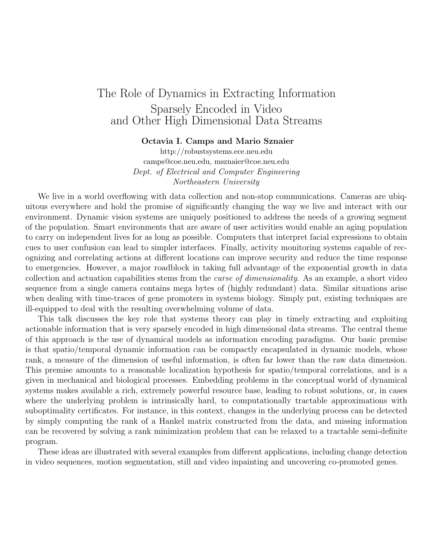## The Role of Dynamics in Extracting Information Sparsely Encoded in Video and Other High Dimensional Data Streams

## Octavia I. Camps and Mario Sznaier

http://robustsystems.ece.neu.edu camps@coe.neu.edu, msznaier@coe.neu.edu Dept. of Electrical and Computer Engineering Northeastern University

We live in a world overflowing with data collection and non-stop communications. Cameras are ubiquitous everywhere and hold the promise of significantly changing the way we live and interact with our environment. Dynamic vision systems are uniquely positioned to address the needs of a growing segment of the population. Smart environments that are aware of user activities would enable an aging population to carry on independent lives for as long as possible. Computers that interpret facial expressions to obtain cues to user confusion can lead to simpler interfaces. Finally, activity monitoring systems capable of recognizing and correlating actions at different locations can improve security and reduce the time response to emergencies. However, a major roadblock in taking full advantage of the exponential growth in data collection and actuation capabilities stems from the curse of dimensionality. As an example, a short video sequence from a single camera contains mega bytes of (highly redundant) data. Similar situations arise when dealing with time-traces of gene promoters in systems biology. Simply put, existing techniques are ill-equipped to deal with the resulting overwhelming volume of data.

This talk discusses the key role that systems theory can play in timely extracting and exploiting actionable information that is very sparsely encoded in high dimensional data streams. The central theme of this approach is the use of dynamical models as information encoding paradigms. Our basic premise is that spatio/temporal dynamic information can be compactly encapsulated in dynamic models, whose rank, a measure of the dimension of useful information, is often far lower than the raw data dimension. This premise amounts to a reasonable localization hypothesis for spatio/temporal correlations, and is a given in mechanical and biological processes. Embedding problems in the conceptual world of dynamical systems makes available a rich, extremely powerful resource base, leading to robust solutions, or, in cases where the underlying problem is intrinsically hard, to computationally tractable approximations with suboptimality certificates. For instance, in this context, changes in the underlying process can be detected by simply computing the rank of a Hankel matrix constructed from the data, and missing information can be recovered by solving a rank minimization problem that can be relaxed to a tractable semi-definite program.

These ideas are illustrated with several examples from different applications, including change detection in video sequences, motion segmentation, still and video inpainting and uncovering co-promoted genes.